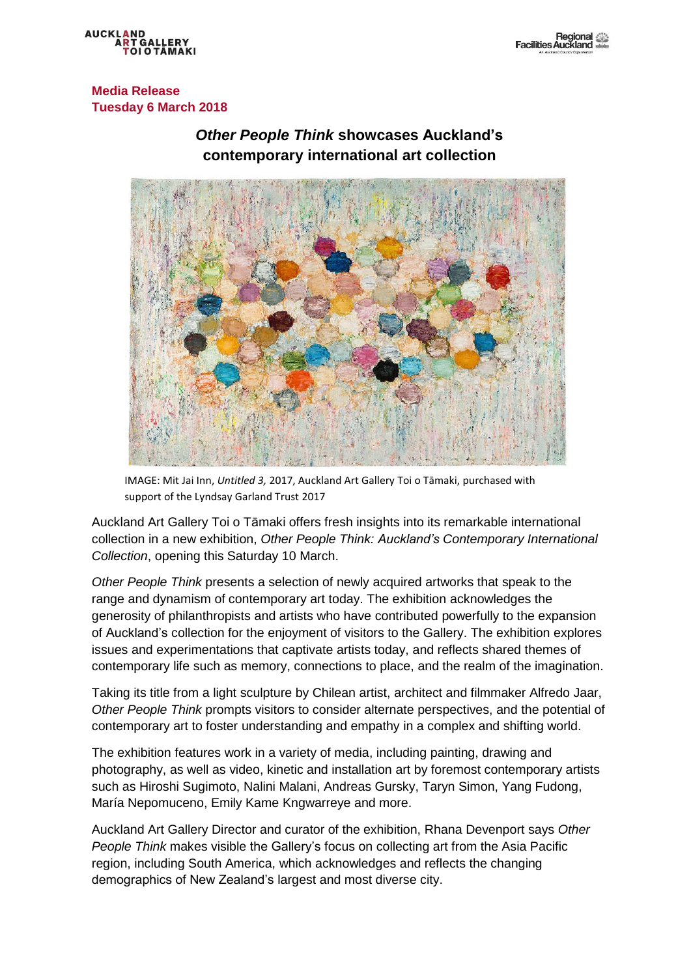**AUCKLAND** 

**Media Release Tuesday 6 March 2018**

# *Other People Think* **showcases Auckland's contemporary international art collection**



IMAGE: Mit Jai Inn, *Untitled 3,* 2017, Auckland Art Gallery Toi o Tāmaki, purchased with support of the Lyndsay Garland Trust 2017

Auckland Art Gallery Toi o Tāmaki offers fresh insights into its remarkable international collection in a new exhibition, *Other People Think: Auckland's Contemporary International Collection*, opening this Saturday 10 March.

*Other People Think* presents a selection of newly acquired artworks that speak to the range and dynamism of contemporary art today. The exhibition acknowledges the generosity of philanthropists and artists who have contributed powerfully to the expansion of Auckland's collection for the enjoyment of visitors to the Gallery. The exhibition explores issues and experimentations that captivate artists today, and reflects shared themes of contemporary life such as memory, connections to place, and the realm of the imagination.

Taking its title from a light sculpture by Chilean artist, architect and filmmaker Alfredo Jaar, *Other People Think* prompts visitors to consider alternate perspectives, and the potential of contemporary art to foster understanding and empathy in a complex and shifting world.

The exhibition features work in a variety of media, including painting, drawing and photography, as well as video, kinetic and installation art by foremost contemporary artists such as Hiroshi Sugimoto, Nalini Malani, Andreas Gursky, Taryn Simon, Yang Fudong, María Nepomuceno, Emily Kame Kngwarreye and more.

Auckland Art Gallery Director and curator of the exhibition, Rhana Devenport says *Other People Think* makes visible the Gallery's focus on collecting art from the Asia Pacific region, including South America, which acknowledges and reflects the changing demographics of New Zealand's largest and most diverse city.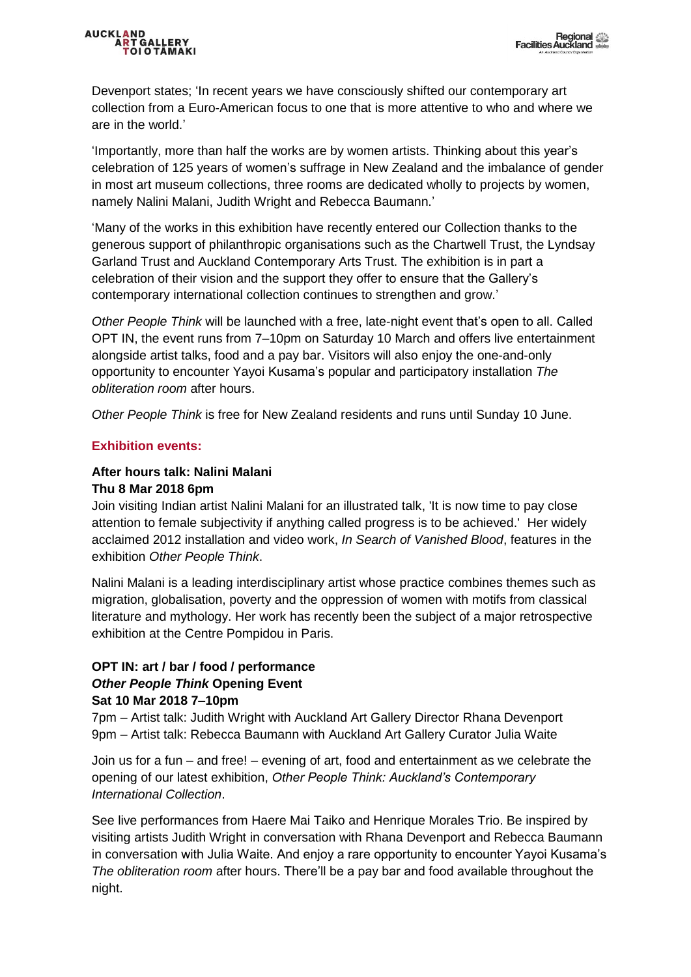### AUCKLAND<br>ART GA **LERY**

Devenport states; 'In recent years we have consciously shifted our contemporary art collection from a Euro-American focus to one that is more attentive to who and where we are in the world.'

'Importantly, more than half the works are by women artists. Thinking about this year's celebration of 125 years of women's suffrage in New Zealand and the imbalance of gender in most art museum collections, three rooms are dedicated wholly to projects by women, namely Nalini Malani, Judith Wright and Rebecca Baumann.'

'Many of the works in this exhibition have recently entered our Collection thanks to the generous support of philanthropic organisations such as the Chartwell Trust, the Lyndsay Garland Trust and Auckland Contemporary Arts Trust. The exhibition is in part a celebration of their vision and the support they offer to ensure that the Gallery's contemporary international collection continues to strengthen and grow.'

*Other People Think* will be launched with a free, late-night event that's open to all. Called OPT IN, the event runs from 7–10pm on Saturday 10 March and offers live entertainment alongside artist talks, food and a pay bar. Visitors will also enjoy the one-and-only opportunity to encounter Yayoi Kusama's popular and participatory installation *The obliteration room* after hours.

*Other People Think* is free for New Zealand residents and runs until Sunday 10 June.

## **Exhibition events:**

### **After hours talk: Nalini Malani Thu 8 Mar 2018 6pm**

Join visiting Indian artist Nalini Malani for an illustrated talk, 'It is now time to pay close attention to female subjectivity if anything called progress is to be achieved.' Her widely acclaimed 2012 installation and video work, *In Search of Vanished Blood*, features in the exhibition *Other People Think*.

Nalini Malani is a leading interdisciplinary artist whose practice combines themes such as migration, globalisation, poverty and the oppression of women with motifs from classical literature and mythology. Her work has recently been the subject of a major retrospective exhibition at the Centre Pompidou in Paris.

### **OPT IN: art / bar / food / performance** *Other People Think* **Opening Event Sat 10 Mar 2018 7–10pm**

7pm – Artist talk: Judith Wright with Auckland Art Gallery Director Rhana Devenport 9pm – Artist talk: Rebecca Baumann with Auckland Art Gallery Curator Julia Waite

Join us for a fun – and free! – evening of art, food and entertainment as we celebrate the opening of our latest exhibition, *Other People Think: Auckland's Contemporary International Collection*.

See live performances from Haere Mai Taiko and Henrique Morales Trio. Be inspired by visiting artists Judith Wright in conversation with Rhana Devenport and Rebecca Baumann in conversation with Julia Waite. And enjoy a rare opportunity to encounter Yayoi Kusama's *The obliteration room* after hours. There'll be a pay bar and food available throughout the night.